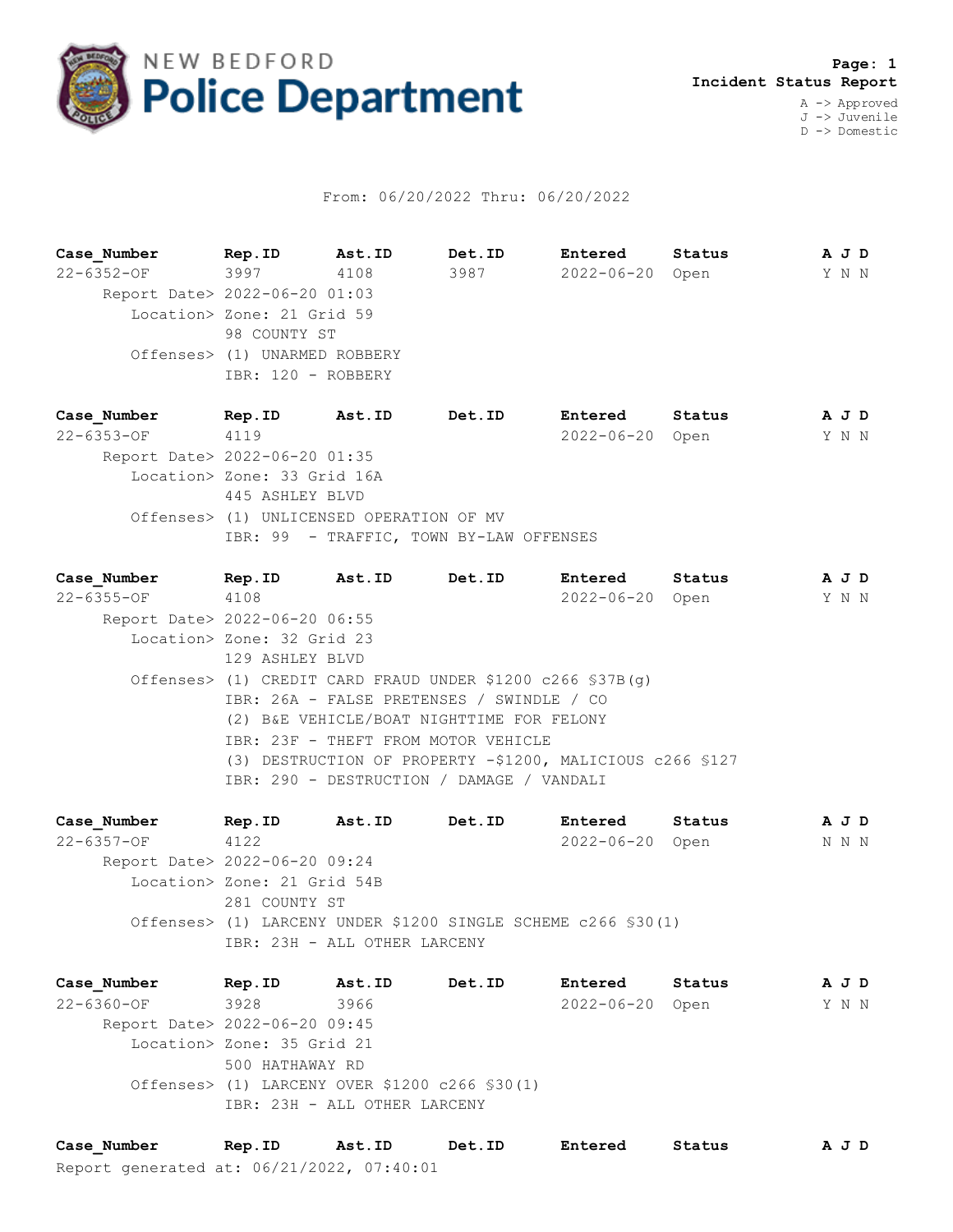

## From: 06/20/2022 Thru: 06/20/2022

**Case\_Number Rep.ID Ast.ID Det.ID Entered Status A J D** 22-6352-OF 3997 4108 3987 2022-06-20 Open Y N N Report Date> 2022-06-20 01:03 Location> Zone: 21 Grid 59 98 COUNTY ST Offenses> (1) UNARMED ROBBERY IBR: 120 - ROBBERY

**Case\_Number Rep.ID Ast.ID Det.ID Entered Status A J D** 22-6353-OF 4119 2022-06-20 Open Y N N Report Date> 2022-06-20 01:35 Location> Zone: 33 Grid 16A 445 ASHLEY BLVD Offenses> (1) UNLICENSED OPERATION OF MV IBR: 99 - TRAFFIC, TOWN BY-LAW OFFENSES

**Case\_Number Rep.ID Ast.ID Det.ID Entered Status A J D** 22-6355-OF 4108 2022-06-20 Open Y N N Report Date> 2022-06-20 06:55 Location> Zone: 32 Grid 23 129 ASHLEY BLVD Offenses> (1) CREDIT CARD FRAUD UNDER \$1200 c266 §37B(g) IBR: 26A - FALSE PRETENSES / SWINDLE / CO (2) B&E VEHICLE/BOAT NIGHTTIME FOR FELONY IBR: 23F - THEFT FROM MOTOR VEHICLE (3) DESTRUCTION OF PROPERTY -\$1200, MALICIOUS c266 §127 IBR: 290 - DESTRUCTION / DAMAGE / VANDALI

**Case\_Number Rep.ID Ast.ID Det.ID Entered Status A J D** 22-6357-OF 4122 2022-06-20 Open N N N Report Date> 2022-06-20 09:24 Location> Zone: 21 Grid 54B 281 COUNTY ST Offenses> (1) LARCENY UNDER \$1200 SINGLE SCHEME c266 §30(1) IBR: 23H - ALL OTHER LARCENY

**Case\_Number Rep.ID Ast.ID Det.ID Entered Status A J D** 22-6360-OF 3928 3966 2022-06-20 Open Y N N Report Date> 2022-06-20 09:45 Location> Zone: 35 Grid 21 500 HATHAWAY RD Offenses> (1) LARCENY OVER \$1200 c266 §30(1) IBR: 23H - ALL OTHER LARCENY

Report generated at: 06/21/2022, 07:40:01 **Case\_Number Rep.ID Ast.ID Det.ID Entered Status A J D**